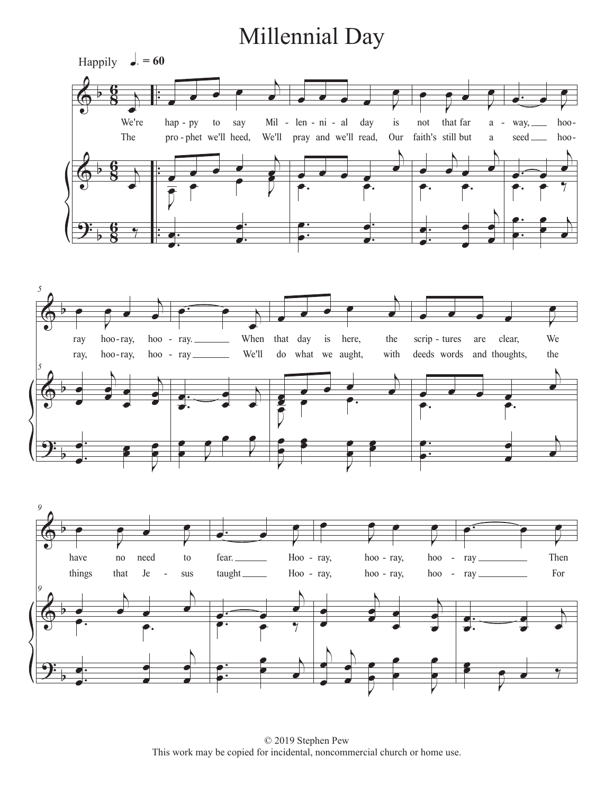## Millennial Day







© 2019 Stephen Pew This work may be copied for incidental, noncommercial church or home use.